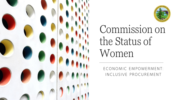



# Commission on the Status of Women

ECONOMIC EMPOWERMENT: INCLUSIVE PROCUREMENT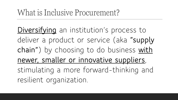**Diversifying** an institution's process to deliver a product or service (aka **"supply chain"**) by choosing to do business **with newer, smaller or innovative suppliers**, stimulating a more forward-thinking and resilient organization.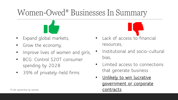## Women-Owed\* Businesses In Summary



- Grow the economy,
- Improve lives of women and girls,
- BCG: Control \$20T consumer spending by 2028
- 39% of privately-held firms



- Institutional and socio-cultural bias,
- Limited access to connections that generate business
- **Unlikely to win lucrative government or corporate**  \*51% ownership by women **contracts**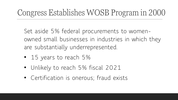# Congress Establishes WOSB Program in 2000

Set aside 5% federal procurements to womenowned small businesses in industries in which they are substantially underrepresented.

- 15 years to reach 5%
- Unlikely to reach 5% fiscal 2021
- Certification is onerous; fraud exists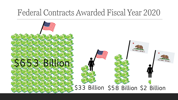### Federal Contracts Awarded Fiscal Year 2020

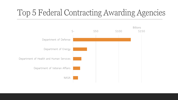# Top 5 Federal Contracting Awarding Agencies

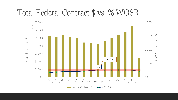### Total Federal Contract \$ vs. % WOSB

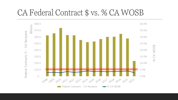### CA Federal Contract \$ vs. % CA WOSB

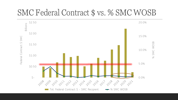#### SMC Federal Contract \$ vs. % SMC WOSB

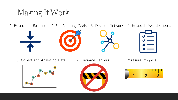# Making It Work

1. Establish a Baseline 2. Set Sourcing Goals 3. Develop Network 4. Establish Award Criteria









5. Collect and Analyzing Data 6. Eliminate Barriers 7. Measure Progress





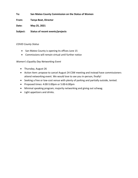**To: San Mateo County Commission on the Status of Women**

**From: Tanya Beat, Director**

**Date: May 25, 2021**

**Subject: Status of recent events/projects**

#### *COVID County Status*

- San Mateo County is opening its offices June 15
- Commissions will remain virtual until further notice

#### *Women's Equality Day Networking Event*

- Thursday, August 26
- Action Item: propose to cancel August 24 CSW meeting and instead have commissioners attend networking event. We would love to see you in-person, finally!
- Seeking a free or low-cost venue with plenty of parking and partially outside, tented.
- Proposed times: 4:00-5:00pm or 5:00-6:00pm
- Minimal speaking program; majority networking and giving out schwag.
- Light appetizers and drinks.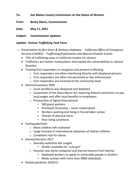**To: San Mateo County Commission on the Status of Women**

**From: Becky Abens, Commissioner**

**Date: May 11, 2021**

**Subject: Commissioner Updates**

#### *Update: Human Trafficking Task Force*

- o *Presentation by Ben Greer & Brittany Hadaway - California Office of Emergency Services (CalOES) – Trafficking/Exploitation and Natural Disaster Events*
	- 72% of trafficking cases in California involve US citizens
	- Traffickers are master manipulators and exploit the vulnerabilities in natural disasters
	- Training first responders to recognize and prevent trafficking
		- o First responders are often interfacing directly with displaced persons
		- o First responders are often not perceived as law enforcement
		- o First responders are involved at the community level
	- Katrina/Louisiana 2005
		- o Local workforce was displaced and depleted
		- o Suspension of the Davis-Bacon Act requiring federal contractors to pay local wages and offer local benefits to employees
		- o Prosecution of Signal International
			- 500 guest workers
			- Promised citizenship never materialized
			- Workers working and living in forced labor camps
			- Threats of physical harm
			- Poor living conditions
	- Earthquake/Haiti
		- o Many children left orphaned
		- o Large increase in international adoptions of Haitian children
		- o Conditions ripe for abuse
	- Harvey/Houston 2017
		- o Sexually exploitive ads surged
			- Shelter available for "cute girl"
		- o Houston was better prepared and learned lessons from Katrina
			- Deployed workers to speak to vulnerable people in shelters
			- Made contact with more than 4000 individuals
	- Global pandemic 2020/21